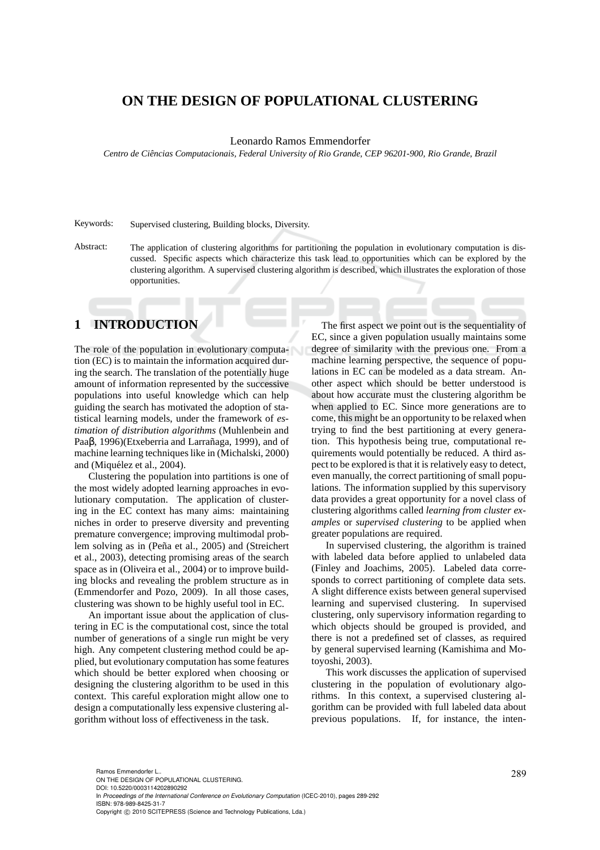## **ON THE DESIGN OF POPULATIONAL CLUSTERING**

Leonardo Ramos Emmendorfer

*Centro de Ciˆencias Computacionais, Federal University of Rio Grande, CEP 96201-900, Rio Grande, Brazil*

Keywords: Supervised clustering, Building blocks, Diversity.

Abstract: The application of clustering algorithms for partitioning the population in evolutionary computation is discussed. Specific aspects which characterize this task lead to opportunities which can be explored by the clustering algorithm. A supervised clustering algorithm is described, which illustrates the exploration of those opportunities.

## **1 INTRODUCTION**

The role of the population in evolutionary computation (EC) is to maintain the information acquired during the search. The translation of the potentially huge amount of information represented by the successive populations into useful knowledge which can help guiding the search has motivated the adoption of statistical learning models, under the framework of *estimation of distribution algorithms* (Muhlenbein and Paaβ, 1996)(Etxeberria and Larrañaga, 1999), and of machine learning techniques like in (Michalski, 2000) and (Miquélez et al., 2004).

Clustering the population into partitions is one of the most widely adopted learning approaches in evolutionary computation. The application of clustering in the EC context has many aims: maintaining niches in order to preserve diversity and preventing premature convergence; improving multimodal problem solving as in (Peña et al., 2005) and (Streichert et al., 2003), detecting promising areas of the search space as in (Oliveira et al., 2004) or to improve building blocks and revealing the problem structure as in (Emmendorfer and Pozo, 2009). In all those cases, clustering was shown to be highly useful tool in EC.

An important issue about the application of clustering in EC is the computational cost, since the total number of generations of a single run might be very high. Any competent clustering method could be applied, but evolutionary computation has some features which should be better explored when choosing or designing the clustering algorithm to be used in this context. This careful exploration might allow one to design a computationally less expensive clustering algorithm without loss of effectiveness in the task.

The first aspect we point out is the sequentiality of EC, since a given population usually maintains some degree of similarity with the previous one. From a machine learning perspective, the sequence of populations in EC can be modeled as a data stream. Another aspect which should be better understood is about how accurate must the clustering algorithm be when applied to EC. Since more generations are to come, this might be an opportunity to be relaxed when trying to find the best partitioning at every generation. This hypothesis being true, computational requirements would potentially be reduced. A third aspect to be explored is that it is relatively easy to detect, even manually, the correct partitioning of small populations. The information supplied by this supervisory data provides a great opportunity for a novel class of clustering algorithms called *learning from cluster examples* or *supervised clustering* to be applied when greater populations are required.

In supervised clustering, the algorithm is trained with labeled data before applied to unlabeled data (Finley and Joachims, 2005). Labeled data corresponds to correct partitioning of complete data sets. A slight difference exists between general supervised learning and supervised clustering. In supervised clustering, only supervisory information regarding to which objects should be grouped is provided, and there is not a predefined set of classes, as required by general supervised learning (Kamishima and Motoyoshi, 2003).

This work discusses the application of supervised clustering in the population of evolutionary algorithms. In this context, a supervised clustering algorithm can be provided with full labeled data about previous populations. If, for instance, the inten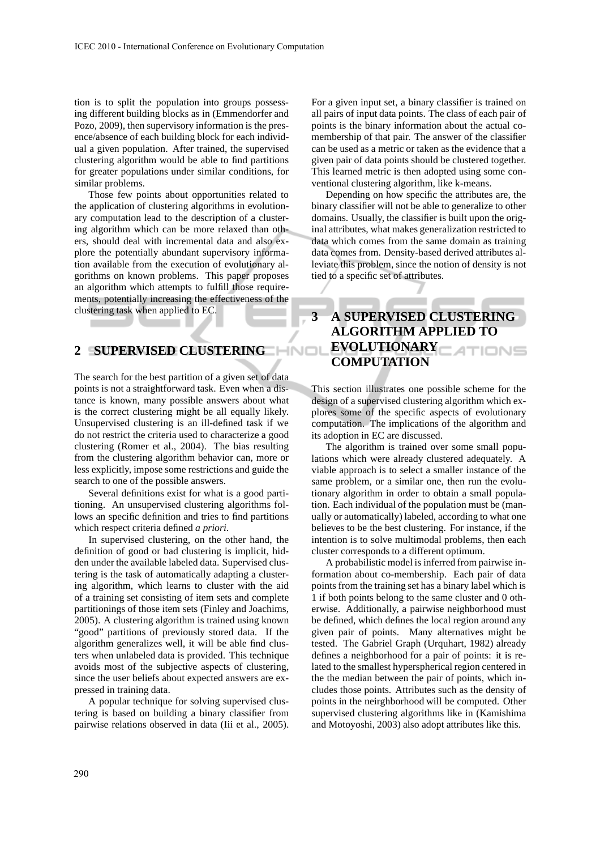tion is to split the population into groups possessing different building blocks as in (Emmendorfer and Pozo, 2009), then supervisory information is the presence/absence of each building block for each individual a given population. After trained, the supervised clustering algorithm would be able to find partitions for greater populations under similar conditions, for similar problems.

Those few points about opportunities related to the application of clustering algorithms in evolutionary computation lead to the description of a clustering algorithm which can be more relaxed than others, should deal with incremental data and also explore the potentially abundant supervisory information available from the execution of evolutionary algorithms on known problems. This paper proposes an algorithm which attempts to fulfill those requirements, potentially increasing the effectiveness of the clustering task when applied to EC.

## **2 SUPERVISED CLUSTERING**

The search for the best partition of a given set of data points is not a straightforward task. Even when a distance is known, many possible answers about what is the correct clustering might be all equally likely. Unsupervised clustering is an ill-defined task if we do not restrict the criteria used to characterize a good clustering (Romer et al., 2004). The bias resulting from the clustering algorithm behavior can, more or less explicitly, impose some restrictions and guide the search to one of the possible answers.

Several definitions exist for what is a good partitioning. An unsupervised clustering algorithms follows an specific definition and tries to find partitions which respect criteria defined *a priori*.

In supervised clustering, on the other hand, the definition of good or bad clustering is implicit, hidden under the available labeled data. Supervised clustering is the task of automatically adapting a clustering algorithm, which learns to cluster with the aid of a training set consisting of item sets and complete partitionings of those item sets (Finley and Joachims, 2005). A clustering algorithm is trained using known "good" partitions of previously stored data. If the algorithm generalizes well, it will be able find clusters when unlabeled data is provided. This technique avoids most of the subjective aspects of clustering, since the user beliefs about expected answers are expressed in training data.

A popular technique for solving supervised clustering is based on building a binary classifier from pairwise relations observed in data (Iii et al., 2005). For a given input set, a binary classifier is trained on all pairs of input data points. The class of each pair of points is the binary information about the actual comembership of that pair. The answer of the classifier can be used as a metric or taken as the evidence that a given pair of data points should be clustered together. This learned metric is then adopted using some conventional clustering algorithm, like k-means.

Depending on how specific the attributes are, the binary classifier will not be able to generalize to other domains. Usually, the classifier is built upon the original attributes, what makes generalization restricted to data which comes from the same domain as training data comes from. Density-based derived attributes alleviate this problem, since the notion of density is not tied to a specific set of attributes.

# **3 A SUPERVISED CLUSTERING ALGORITHM APPLIED TO EVOLUTIONARY COMPUTATION**

This section illustrates one possible scheme for the design of a supervised clustering algorithm which explores some of the specific aspects of evolutionary computation. The implications of the algorithm and its adoption in EC are discussed.

The algorithm is trained over some small populations which were already clustered adequately. A viable approach is to select a smaller instance of the same problem, or a similar one, then run the evolutionary algorithm in order to obtain a small population. Each individual of the population must be (manually or automatically) labeled, according to what one believes to be the best clustering. For instance, if the intention is to solve multimodal problems, then each cluster corresponds to a different optimum.

A probabilistic model is inferred from pairwise information about co-membership. Each pair of data points from the training set has a binary label which is 1 if both points belong to the same cluster and 0 otherwise. Additionally, a pairwise neighborhood must be defined, which defines the local region around any given pair of points. Many alternatives might be tested. The Gabriel Graph (Urquhart, 1982) already defines a neighborhood for a pair of points: it is related to the smallest hyperspherical region centered in the the median between the pair of points, which includes those points. Attributes such as the density of points in the neirghborhood will be computed. Other supervised clustering algorithms like in (Kamishima and Motoyoshi, 2003) also adopt attributes like this.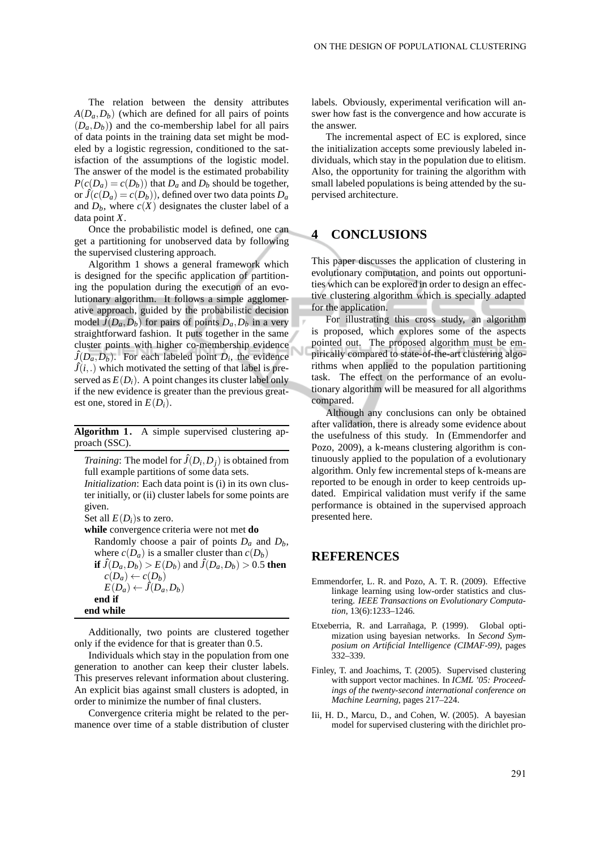The relation between the density attributes  $A(D_a, D_b)$  (which are defined for all pairs of points  $(D_a, D_b)$  and the co-membership label for all pairs of data points in the training data set might be modeled by a logistic regression, conditioned to the satisfaction of the assumptions of the logistic model. The answer of the model is the estimated probability  $P(c(D_a) = c(D_b))$  that  $D_a$  and  $D_b$  should be together, or  $\hat{J}(c(D_a) = c(D_b))$ , defined over two data points  $D_a$ and  $D_b$ , where  $c(X)$  designates the cluster label of a data point *X*.

Once the probabilistic model is defined, one can get a partitioning for unobserved data by following the supervised clustering approach.

Algorithm 1 shows a general framework which is designed for the specific application of partitioning the population during the execution of an evolutionary algorithm. It follows a simple agglomerative approach, guided by the probabilistic decision model  $\hat{J}(D_a, D_b)$  for pairs of points  $D_a, D_b$  in a very straightforward fashion. It puts together in the same cluster points with higher co-membership evidence  $\hat{J}(D_a, D_b)$ . For each labeled point  $D_i$ , the evidence  $\hat{J}(i,.)$  which motivated the setting of that label is preserved as  $E(D_i)$ . A point changes its cluster label only if the new evidence is greater than the previous greatest one, stored in  $E(D_i)$ .

**Algorithm 1.** A simple supervised clustering approach (SSC).

*Training*: The model for  $\hat{J}(D_i, D_j)$  is obtained from full example partitions of some data sets. *Initialization*: Each data point is (i) in its own cluster initially, or (ii) cluster labels for some points are given.

Set all  $E(D_i)$ s to zero.

**while** convergence criteria were not met **do** Randomly choose a pair of points *D<sup>a</sup>* and *Db*, where  $c(D_a)$  is a smaller cluster than  $c(D_b)$ **if**  $\hat{J}(D_a, D_b) > E(D_b)$  and  $\hat{J}(D_a, D_b) > 0.5$  then  $c(D_a) \leftarrow c(D_b)$  $E(D_a) \leftarrow \hat{J}(D_a, D_b)$ **end if end while**

Additionally, two points are clustered together only if the evidence for that is greater than 0.5.

Individuals which stay in the population from one generation to another can keep their cluster labels. This preserves relevant information about clustering. An explicit bias against small clusters is adopted, in order to minimize the number of final clusters.

Convergence criteria might be related to the permanence over time of a stable distribution of cluster labels. Obviously, experimental verification will answer how fast is the convergence and how accurate is the answer.

The incremental aspect of EC is explored, since the initialization accepts some previously labeled individuals, which stay in the population due to elitism. Also, the opportunity for training the algorithm with small labeled populations is being attended by the supervised architecture.

#### **4 CONCLUSIONS**

This paper discusses the application of clustering in evolutionary computation, and points out opportunities which can be explored in order to design an effective clustering algorithm which is specially adapted for the application.

For illustrating this cross study, an algorithm is proposed, which explores some of the aspects pointed out. The proposed algorithm must be empirically compared to state-of-the-art clustering algorithms when applied to the population partitioning task. The effect on the performance of an evolutionary algorithm will be measured for all algorithms compared.

Although any conclusions can only be obtained after validation, there is already some evidence about the usefulness of this study. In (Emmendorfer and Pozo, 2009), a k-means clustering algorithm is continuously applied to the population of a evolutionary algorithm. Only few incremental steps of k-means are reported to be enough in order to keep centroids updated. Empirical validation must verify if the same performance is obtained in the supervised approach presented here.

#### **REFERENCES**

- Emmendorfer, L. R. and Pozo, A. T. R. (2009). Effective linkage learning using low-order statistics and clustering. *IEEE Transactions on Evolutionary Computation*, 13(6):1233–1246.
- Etxeberria, R. and Larrañaga, P. (1999). Global optimization using bayesian networks. In *Second Symposium on Artificial Intelligence (CIMAF-99)*, pages 332–339.
- Finley, T. and Joachims, T. (2005). Supervised clustering with support vector machines. In *ICML '05: Proceedings of the twenty-second international conference on Machine Learning*, pages 217–224.
- Iii, H. D., Marcu, D., and Cohen, W. (2005). A bayesian model for supervised clustering with the dirichlet pro-